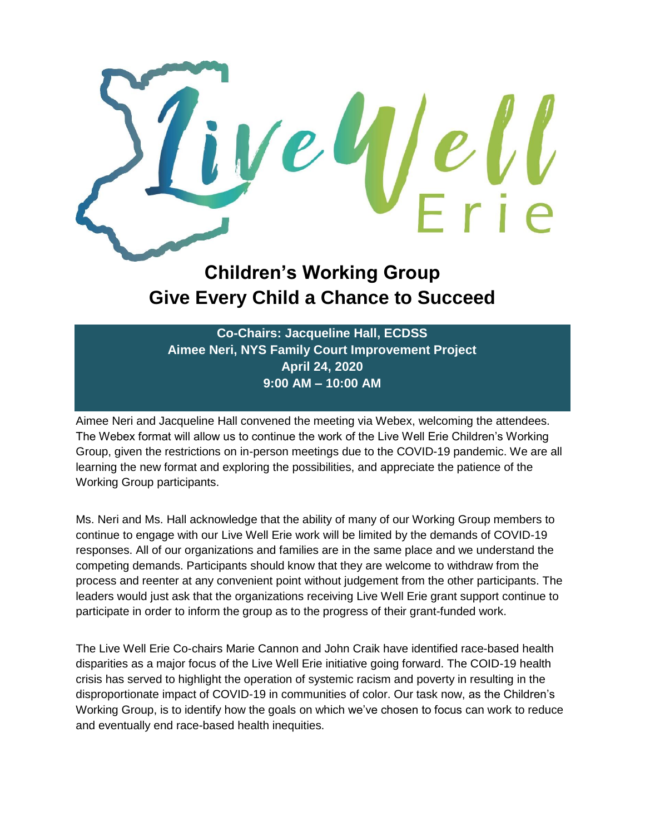

## **Children's Working Group Give Every Child a Chance to Succeed**

**Co-Chairs: Jacqueline Hall, ECDSS Aimee Neri, NYS Family Court Improvement Project April 24, 2020 9:00 AM – 10:00 AM**

Aimee Neri and Jacqueline Hall convened the meeting via Webex, welcoming the attendees. The Webex format will allow us to continue the work of the Live Well Erie Children's Working Group, given the restrictions on in-person meetings due to the COVID-19 pandemic. We are all learning the new format and exploring the possibilities, and appreciate the patience of the Working Group participants.

Ms. Neri and Ms. Hall acknowledge that the ability of many of our Working Group members to continue to engage with our Live Well Erie work will be limited by the demands of COVID-19 responses. All of our organizations and families are in the same place and we understand the competing demands. Participants should know that they are welcome to withdraw from the process and reenter at any convenient point without judgement from the other participants. The leaders would just ask that the organizations receiving Live Well Erie grant support continue to participate in order to inform the group as to the progress of their grant-funded work.

The Live Well Erie Co-chairs Marie Cannon and John Craik have identified race-based health disparities as a major focus of the Live Well Erie initiative going forward. The COID-19 health crisis has served to highlight the operation of systemic racism and poverty in resulting in the disproportionate impact of COVID-19 in communities of color. Our task now, as the Children's Working Group, is to identify how the goals on which we've chosen to focus can work to reduce and eventually end race-based health inequities.